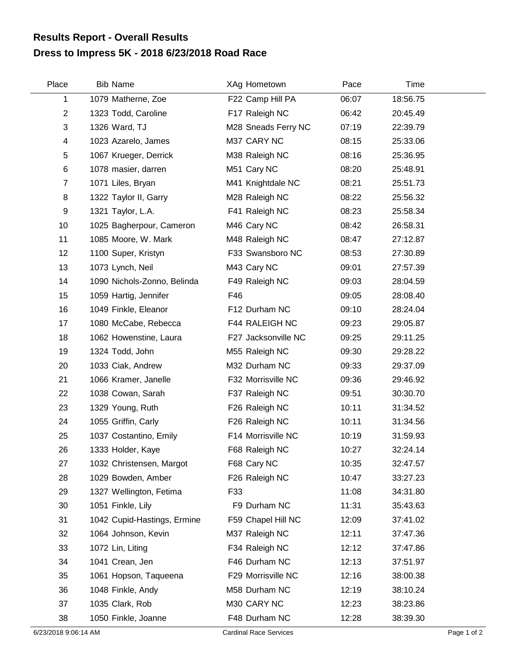## **Dress to Impress 5K - 2018 6/23/2018 Road Race Results Report - Overall Results**

| Place          | <b>Bib Name</b>             | XAg Hometown        | Pace  | Time     |  |
|----------------|-----------------------------|---------------------|-------|----------|--|
| 1              | 1079 Matherne, Zoe          | F22 Camp Hill PA    | 06:07 | 18:56.75 |  |
| $\overline{c}$ | 1323 Todd, Caroline         | F17 Raleigh NC      | 06:42 | 20:45.49 |  |
| 3              | 1326 Ward, TJ               | M28 Sneads Ferry NC | 07:19 | 22:39.79 |  |
| 4              | 1023 Azarelo, James         | M37 CARY NC         | 08:15 | 25:33.06 |  |
| 5              | 1067 Krueger, Derrick       | M38 Raleigh NC      | 08:16 | 25:36.95 |  |
| 6              | 1078 masier, darren         | M51 Cary NC         | 08:20 | 25:48.91 |  |
| 7              | 1071 Liles, Bryan           | M41 Knightdale NC   | 08:21 | 25:51.73 |  |
| 8              | 1322 Taylor II, Garry       | M28 Raleigh NC      | 08:22 | 25:56.32 |  |
| 9              | 1321 Taylor, L.A.           | F41 Raleigh NC      | 08:23 | 25:58.34 |  |
| 10             | 1025 Bagherpour, Cameron    | M46 Cary NC         | 08:42 | 26:58.31 |  |
| 11             | 1085 Moore, W. Mark         | M48 Raleigh NC      | 08:47 | 27:12.87 |  |
| 12             | 1100 Super, Kristyn         | F33 Swansboro NC    | 08:53 | 27:30.89 |  |
| 13             | 1073 Lynch, Neil            | M43 Cary NC         | 09:01 | 27:57.39 |  |
| 14             | 1090 Nichols-Zonno, Belinda | F49 Raleigh NC      | 09:03 | 28:04.59 |  |
| 15             | 1059 Hartig, Jennifer       | F46                 | 09:05 | 28:08.40 |  |
| 16             | 1049 Finkle, Eleanor        | F12 Durham NC       | 09:10 | 28:24.04 |  |
| 17             | 1080 McCabe, Rebecca        | F44 RALEIGH NC      | 09:23 | 29:05.87 |  |
| 18             | 1062 Howenstine, Laura      | F27 Jacksonville NC | 09:25 | 29:11.25 |  |
| 19             | 1324 Todd, John             | M55 Raleigh NC      | 09:30 | 29:28.22 |  |
| 20             | 1033 Ciak, Andrew           | M32 Durham NC       | 09:33 | 29:37.09 |  |
| 21             | 1066 Kramer, Janelle        | F32 Morrisville NC  | 09:36 | 29:46.92 |  |
| 22             | 1038 Cowan, Sarah           | F37 Raleigh NC      | 09:51 | 30:30.70 |  |
| 23             | 1329 Young, Ruth            | F26 Raleigh NC      | 10:11 | 31:34.52 |  |
| 24             | 1055 Griffin, Carly         | F26 Raleigh NC      | 10:11 | 31:34.56 |  |
| 25             | 1037 Costantino, Emily      | F14 Morrisville NC  | 10:19 | 31:59.93 |  |
| 26             | 1333 Holder, Kaye           | F68 Raleigh NC      | 10:27 | 32:24.14 |  |
| 27             | 1032 Christensen, Margot    | F68 Cary NC         | 10:35 | 32:47.57 |  |
| 28             | 1029 Bowden, Amber          | F26 Raleigh NC      | 10:47 | 33:27.23 |  |
| 29             | 1327 Wellington, Fetima     | F33                 | 11:08 | 34:31.80 |  |
| 30             | 1051 Finkle, Lily           | F9 Durham NC        | 11:31 | 35:43.63 |  |
| 31             | 1042 Cupid-Hastings, Ermine | F59 Chapel Hill NC  | 12:09 | 37:41.02 |  |
| 32             | 1064 Johnson, Kevin         | M37 Raleigh NC      | 12:11 | 37:47.36 |  |
| 33             | 1072 Lin, Liting            | F34 Raleigh NC      | 12:12 | 37:47.86 |  |
| 34             | 1041 Crean, Jen             | F46 Durham NC       | 12:13 | 37:51.97 |  |
| 35             | 1061 Hopson, Taqueena       | F29 Morrisville NC  | 12:16 | 38:00.38 |  |
| 36             | 1048 Finkle, Andy           | M58 Durham NC       | 12:19 | 38:10.24 |  |
| 37             | 1035 Clark, Rob             | M30 CARY NC         | 12:23 | 38:23.86 |  |
| 38             | 1050 Finkle, Joanne         | F48 Durham NC       | 12:28 | 38:39.30 |  |